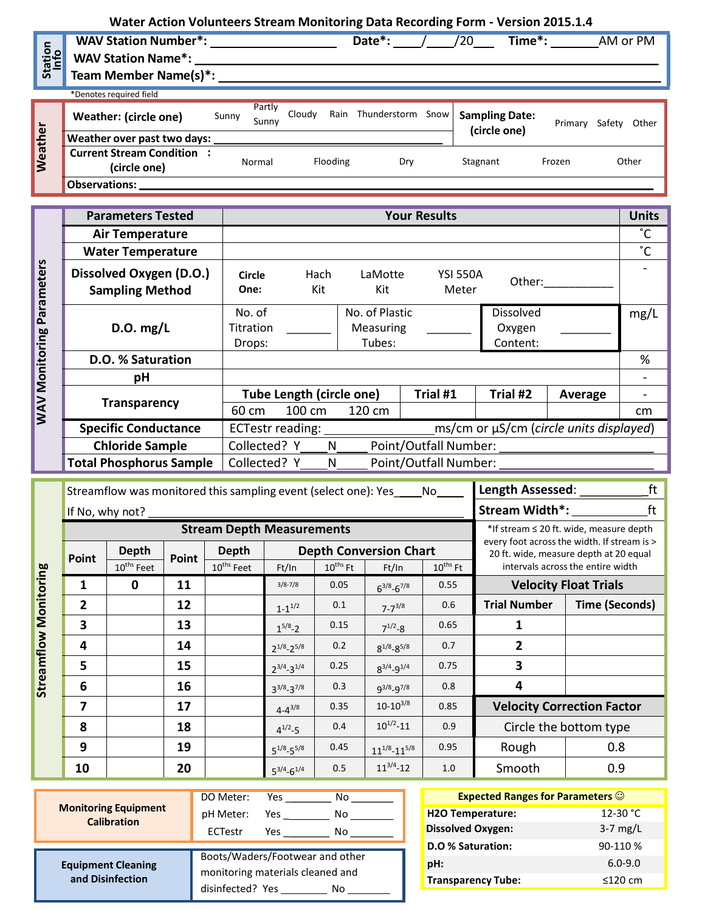## **Water Action Volunteers Stream Monitoring Data Recording Form - Version 2015.1.4**

| Station<br>Info | <b>WAV Station Number*:</b><br><b>WAV Station Name*:</b><br>Team Member Name(s)*: |       |                 |        |      | Date*:            |          | Time <sup>*</sup> :<br>/20            |         | AM or PM        |
|-----------------|-----------------------------------------------------------------------------------|-------|-----------------|--------|------|-------------------|----------|---------------------------------------|---------|-----------------|
|                 | *Denotes required field                                                           |       |                 |        |      |                   |          |                                       |         |                 |
|                 | Weather: (circle one)                                                             | Sunny | Partly<br>Sunnv | Cloudy | Rain | Thunderstorm Snow |          | <b>Sampling Date:</b><br>(circle one) | Primary | Other<br>Safety |
|                 | Weather over past two days:                                                       |       |                 |        |      |                   |          |                                       |         |                 |
| Weather         | <b>Current Stream Condition</b><br>Normal<br>(circle one)                         |       | Flooding        |        | Dry  |                   | Stagnant | Frozen                                | Other   |                 |
|                 | <b>Observations:</b>                                                              |       |                 |        |      |                   |          |                                       |         |                 |

|                | <b>Parameters Tested</b>                          | <b>Your Results</b>                                         |                                 |                                              |                                    |                                 |         |              |  |
|----------------|---------------------------------------------------|-------------------------------------------------------------|---------------------------------|----------------------------------------------|------------------------------------|---------------------------------|---------|--------------|--|
|                | <b>Air Temperature</b>                            |                                                             |                                 |                                              |                                    |                                 |         | $^{\circ}$ C |  |
| Parameters     | <b>Water Temperature</b>                          |                                                             |                                 |                                              |                                    |                                 |         | $^{\circ}C$  |  |
|                | Dissolved Oxygen (D.O.)<br><b>Sampling Method</b> | <b>Circle</b><br>One:                                       | Hach<br>Kit                     | LaMotte<br>Kit                               | <b>YSI 550A</b><br>Other:<br>Meter |                                 |         |              |  |
|                | D.O. mg/L                                         | No. of<br>Titration<br>Drops:                               |                                 | No. of Plastic<br><b>Measuring</b><br>Tubes: |                                    | Dissolved<br>Oxygen<br>Content: |         | mg/L         |  |
|                | D.O. % Saturation                                 |                                                             |                                 |                                              |                                    |                                 |         | %            |  |
| WAV Monitoring | рH                                                |                                                             |                                 |                                              |                                    |                                 |         |              |  |
|                |                                                   |                                                             | <b>Tube Length (circle one)</b> |                                              | Trial #1                           | Trial #2                        | Average |              |  |
|                | <b>Transparency</b>                               | 60 cm                                                       | 100 cm                          | 120 cm                                       |                                    |                                 |         | cm           |  |
|                | <b>Specific Conductance</b>                       | ms/cm or µS/cm (circle units displayed)<br>ECTestr reading: |                                 |                                              |                                    |                                 |         |              |  |
|                | <b>Chloride Sample</b>                            | Point/Outfall Number:<br>Collected? Y<br>N                  |                                 |                                              |                                    |                                 |         |              |  |
|                | <b>Total Phosphorus Sample</b>                    | Point/Outfall Number:<br>Collected? Y<br>N                  |                                 |                                              |                                    |                                 |         |              |  |

|                              |       | Streamflow was monitored this sampling event (select one): Yes |                                  | Length Assessed:                             | ft                  |                      |                               |                                                                                       |                                   |                                   |  |
|------------------------------|-------|----------------------------------------------------------------|----------------------------------|----------------------------------------------|---------------------|----------------------|-------------------------------|---------------------------------------------------------------------------------------|-----------------------------------|-----------------------------------|--|
|                              |       | If No, why not?                                                |                                  | Stream Width*:                               | ft                  |                      |                               |                                                                                       |                                   |                                   |  |
|                              |       |                                                                | <b>Stream Depth Measurements</b> | *If stream $\leq$ 20 ft. wide, measure depth |                     |                      |                               |                                                                                       |                                   |                                   |  |
|                              | Point | <b>Depth</b>                                                   | Point                            | <b>Depth</b>                                 |                     |                      | <b>Depth Conversion Chart</b> | every foot across the width. If stream is ><br>20 ft. wide, measure depth at 20 equal |                                   |                                   |  |
|                              |       | 10 <sup>ths</sup> Feet                                         |                                  | $10^{\text{ths}}$ Feet                       | Ft/In               | $10^{\text{ths}}$ Ft | Ft/In                         | $10^{\text{ths}}$ Ft                                                                  |                                   | intervals across the entire width |  |
|                              | 1     | 0                                                              | 11                               |                                              | $3/8 - 7/8$         | 0.05                 | $6^{3/8}-6^{7/8}$             | 0.55                                                                                  | <b>Velocity Float Trials</b>      |                                   |  |
|                              | 2     |                                                                | 12                               |                                              | $1 - 1^{1/2}$       | 0.1                  | $7 - 7^{3/8}$                 | 0.6                                                                                   | <b>Trial Number</b>               | <b>Time (Seconds)</b>             |  |
|                              | 3     |                                                                | 13                               |                                              | $1^{5/8} - 2$       | 0.15                 | $7^{1/2} - 8$                 | 0.65                                                                                  |                                   |                                   |  |
| <b>Streamflow Monitoring</b> | 4     |                                                                | 14                               |                                              | $2^{1/8} - 2^{5/8}$ | 0.2                  | $8^{1/8} - 8^{5/8}$           | 0.7                                                                                   | $\mathbf{2}$                      |                                   |  |
|                              | 5     |                                                                | 15                               |                                              | $2^{3/4} - 3^{1/4}$ | 0.25                 | $8^{3/4} - 9^{1/4}$           | 0.75                                                                                  | 3                                 |                                   |  |
|                              | 6     |                                                                | 16                               |                                              | $3^{3/8}-3^{7/8}$   | 0.3                  | $q^{3/8} - q^{7/8}$           | 0.8                                                                                   | 4                                 |                                   |  |
|                              | 7     |                                                                | 17                               |                                              | $4 - 4^{3/8}$       | 0.35                 | $10 - 10^{3/8}$               | 0.85                                                                                  | <b>Velocity Correction Factor</b> |                                   |  |
|                              | 8     |                                                                | 18                               |                                              | $4^{1/2} - 5$       | 0.4                  | $10^{1/2} - 11$               | 0.9                                                                                   | Circle the bottom type            |                                   |  |
|                              | 9     |                                                                | 19                               |                                              | $5^{1/8} - 5^{5/8}$ | 0.45                 | $11^{1/8} - 11^{5/8}$         | 0.95                                                                                  | Rough                             | 0.8                               |  |
|                              | 10    |                                                                | 20                               |                                              | $5^{3/4} - 6^{1/4}$ | 0.5                  | $11^{3/4} - 12$               | 1.0                                                                                   | Smooth                            | 0.9                               |  |

|                                                   | DO Meter:                        | <b>Yes</b> | No.  |
|---------------------------------------------------|----------------------------------|------------|------|
| <b>Monitoring Equipment</b><br><b>Calibration</b> | pH Meter:                        |            | No.  |
|                                                   | ECTestr                          | Yes $\_\_$ | No l |
|                                                   |                                  |            |      |
|                                                   | Boots/Waders/Footwear and other  |            |      |
| <b>Equipment Cleaning</b><br>and Disinfection     | monitoring materials cleaned and |            |      |

| <b>Expected Ranges for Parameters <math>\odot</math></b> |                    |
|----------------------------------------------------------|--------------------|
| <b>H2O Temperature:</b>                                  | 12-30 $^{\circ}$ C |
| <b>Dissolved Oxygen:</b>                                 | $3-7$ mg/L         |
| D.O % Saturation:                                        | 90-110 %           |
| pH:                                                      | $6.0 - 9.0$        |
| <b>Transparency Tube:</b>                                | $\leq$ 120 cm      |
|                                                          |                    |